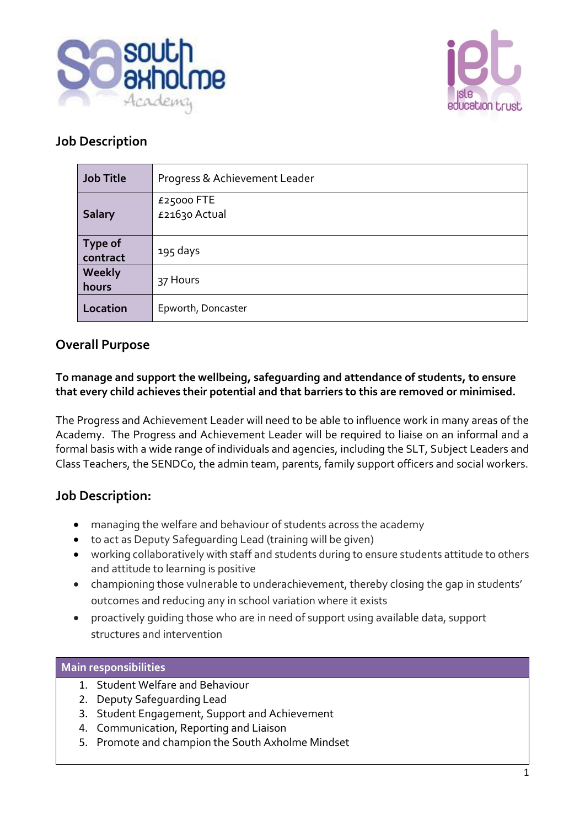



## **Job Description**

| <b>Job Title</b>           | Progress & Achievement Leader |
|----------------------------|-------------------------------|
| <b>Salary</b>              | £25000 FTE<br>£21630 Actual   |
| <b>Type of</b><br>contract | 195 days                      |
| Weekly<br>hours            | 37 Hours                      |
| Location                   | Epworth, Doncaster            |

### **Overall Purpose**

**To manage and support the wellbeing, safeguarding and attendance of students, to ensure that every child achieves their potential and that barriers to this are removed or minimised.**

The Progress and Achievement Leader will need to be able to influence work in many areas of the Academy. The Progress and Achievement Leader will be required to liaise on an informal and a formal basis with a wide range of individuals and agencies, including the SLT, Subject Leaders and Class Teachers, the SENDCo, the admin team, parents, family support officers and social workers.

## **Job Description:**

- managing the welfare and behaviour of students across the academy
- to act as Deputy Safeguarding Lead (training will be given)
- working collaboratively with staff and students during to ensure students attitude to others and attitude to learning is positive
- championing those vulnerable to underachievement, thereby closing the gap in students' outcomes and reducing any in school variation where it exists
- proactively guiding those who are in need of support using available data, support structures and intervention

#### **Main responsibilities**

- 1. Student Welfare and Behaviour
- 2. Deputy Safeguarding Lead
- 3. Student Engagement, Support and Achievement
- 4. Communication, Reporting and Liaison
- 5. Promote and champion the South Axholme Mindset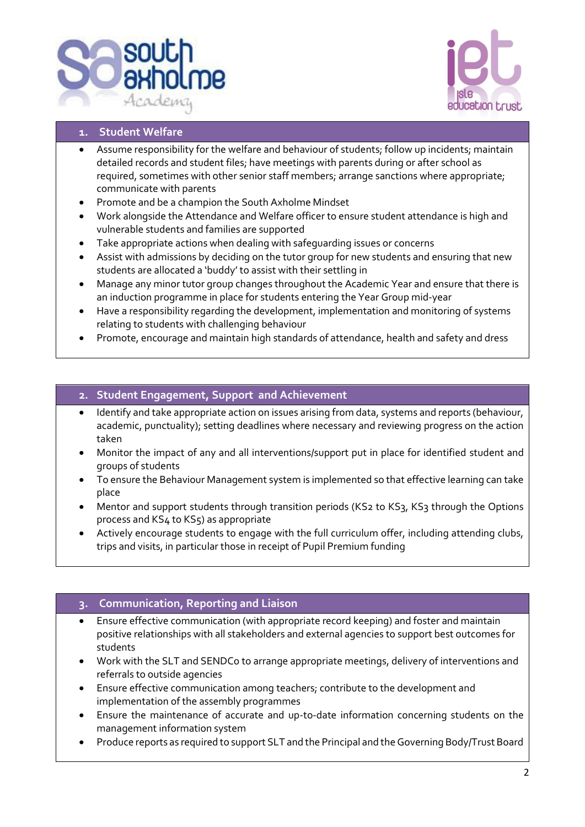



#### **1. Student Welfare**

- Assume responsibility for the welfare and behaviour of students; follow up incidents; maintain detailed records and student files; have meetings with parents during or after school as required, sometimes with other senior staff members; arrange sanctions where appropriate; communicate with parents
- Promote and be a champion the South Axholme Mindset
- Work alongside the Attendance and Welfare officer to ensure student attendance is high and vulnerable students and families are supported
- Take appropriate actions when dealing with safeguarding issues or concerns
- Assist with admissions by deciding on the tutor group for new students and ensuring that new students are allocated a 'buddy' to assist with their settling in
- Manage any minor tutor group changes throughout the Academic Year and ensure that there is an induction programme in place for students entering the Year Group mid-year
- Have a responsibility regarding the development, implementation and monitoring of systems relating to students with challenging behaviour
- Promote, encourage and maintain high standards of attendance, health and safety and dress

#### **2. Student Engagement, Support and Achievement**

- Identify and take appropriate action on issues arising from data, systems and reports (behaviour, academic, punctuality); setting deadlines where necessary and reviewing progress on the action taken
- Monitor the impact of any and all interventions/support put in place for identified student and groups of students
- To ensure the Behaviour Management system is implemented so that effective learning can take place
- Mentor and support students through transition periods (KS2 to KS3, KS3 through the Options process and KS4 to KS5) as appropriate
- Actively encourage students to engage with the full curriculum offer, including attending clubs, trips and visits, in particular those in receipt of Pupil Premium funding

#### **3. Communication, Reporting and Liaison**

- Ensure effective communication (with appropriate record keeping) and foster and maintain positive relationships with all stakeholders and external agencies to support best outcomes for students
- Work with the SLT and SENDCo to arrange appropriate meetings, delivery of interventions and referrals to outside agencies
- Ensure effective communication among teachers; contribute to the development and implementation of the assembly programmes
- Ensure the maintenance of accurate and up-to-date information concerning students on the management information system
- Produce reports as required to support SLT and the Principal and the Governing Body/Trust Board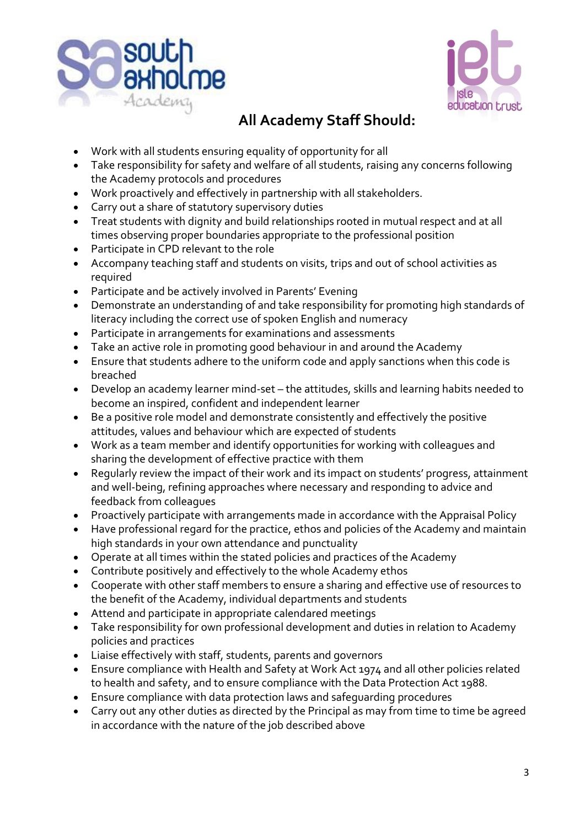



# **All Academy Staff Should:**

- Work with all students ensuring equality of opportunity for all
- Take responsibility for safety and welfare of all students, raising any concerns following the Academy protocols and procedures
- Work proactively and effectively in partnership with all stakeholders.
- Carry out a share of statutory supervisory duties
- Treat students with dignity and build relationships rooted in mutual respect and at all times observing proper boundaries appropriate to the professional position
- Participate in CPD relevant to the role
- Accompany teaching staff and students on visits, trips and out of school activities as required
- Participate and be actively involved in Parents' Evening
- Demonstrate an understanding of and take responsibility for promoting high standards of literacy including the correct use of spoken English and numeracy
- Participate in arrangements for examinations and assessments
- Take an active role in promoting good behaviour in and around the Academy
- Ensure that students adhere to the uniform code and apply sanctions when this code is breached
- Develop an academy learner mind-set the attitudes, skills and learning habits needed to become an inspired, confident and independent learner
- Be a positive role model and demonstrate consistently and effectively the positive attitudes, values and behaviour which are expected of students
- Work as a team member and identify opportunities for working with colleagues and sharing the development of effective practice with them
- Regularly review the impact of their work and its impact on students' progress, attainment and well-being, refining approaches where necessary and responding to advice and feedback from colleagues
- Proactively participate with arrangements made in accordance with the Appraisal Policy
- Have professional regard for the practice, ethos and policies of the Academy and maintain high standards in your own attendance and punctuality
- Operate at all times within the stated policies and practices of the Academy
- Contribute positively and effectively to the whole Academy ethos
- Cooperate with other staff members to ensure a sharing and effective use of resources to the benefit of the Academy, individual departments and students
- Attend and participate in appropriate calendared meetings
- Take responsibility for own professional development and duties in relation to Academy policies and practices
- Liaise effectively with staff, students, parents and governors
- Ensure compliance with Health and Safety at Work Act 1974 and all other policies related to health and safety, and to ensure compliance with the Data Protection Act 1988.
- Ensure compliance with data protection laws and safeguarding procedures
- Carry out any other duties as directed by the Principal as may from time to time be agreed in accordance with the nature of the job described above